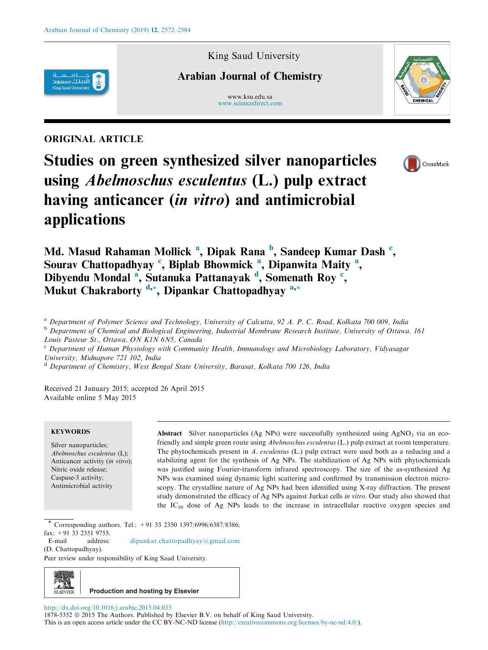King Saud University

# Arabian Journal of Chemistry

www.ksu.edu.sa www.sciencedirect.com

# ORIGINAL ARTICLE

الملك سعود

Studies on green synthesized silver nanoparticles using Abelmoschus esculentus (L.) pulp extract having anticancer *(in vitro)* and antimicrobial applications





Md. Masud Rahaman Mollick <sup>a</sup>, Dipak Rana <sup>b</sup>, Sandeep Kumar Dash <sup>c</sup>, Sourav Chattopadhyay<sup>c</sup>, Biplab Bhowmick<sup>a</sup>, Dipanwita Maity<sup>a</sup>, Dibyendu Mondal<sup>a</sup>, Sutanuka Pattanayak<sup>d</sup>, Somenath Roy<sup>c</sup>, Mukut Chakraborty  $\frac{d}{dx}$ , Dipankar Chattopadhyay  $a^*$ 

<sup>a</sup> Department of Polymer Science and Technology, University of Calcutta, 92 A. P. C. Road, Kolkata 700 009, India

<sup>b</sup> Department of Chemical and Biological Engineering, Industrial Membrane Research Institute, University of Ottawa, 161 Louis Pasteur St., Ottawa, ON K1N 6N5, Canada

<sup>c</sup> Department of Human Physiology with Community Health, Immunology and Microbiology Laboratory, Vidyasagar University, Midnapore 721 102, India

<sup>d</sup> Department of Chemistry, West Bengal State University, Barasat, Kolkata 700 126, India

Received 21 January 2015; accepted 26 April 2015 Available online 5 May 2015

# **KEYWORDS**

Silver nanoparticles; Abelmoschus esculentus (L); Anticancer activity (in vitro); Nitric oxide release; Caspase-3 activity; Antimicrobial activity

Abstract Silver nanoparticles (Ag NPs) were successfully synthesized using  $AgNO<sub>3</sub>$  via an ecofriendly and simple green route using Abelmoschus esculentus (L.) pulp extract at room temperature. The phytochemicals present in A. esculentus (L.) pulp extract were used both as a reducing and a stabilizing agent for the synthesis of Ag NPs. The stabilization of Ag NPs with phytochemicals was justified using Fourier-transform infrared spectroscopy. The size of the as-synthesized Ag NPs was examined using dynamic light scattering and confirmed by transmission electron microscopy. The crystalline nature of Ag NPs had been identified using X-ray diffraction. The present study demonstrated the efficacy of Ag NPs against Jurkat cells in vitro. Our study also showed that the  $IC_{50}$  dose of Ag NPs leads to the increase in intracellular reactive oxygen species and

Corresponding authors. Tel.: +91 33 2350 1397/6996/6387/8386; fax: +91 33 2351 9755.

E-mail address: dipankar.chattopadhyay@gmail.com (D. Chattopadhyay).

Peer review under responsibility of King Saud University.



http://dx.doi.org/10.1016/j.arabjc.2015.04.033

1878-5352 <sup>©</sup> 2015 The Authors. Published by Elsevier B.V. on behalf of King Saud University. This is an open access article under the CC BY-NC-ND license (http://creativecommons.org/licenses/by-nc-nd/4.0/).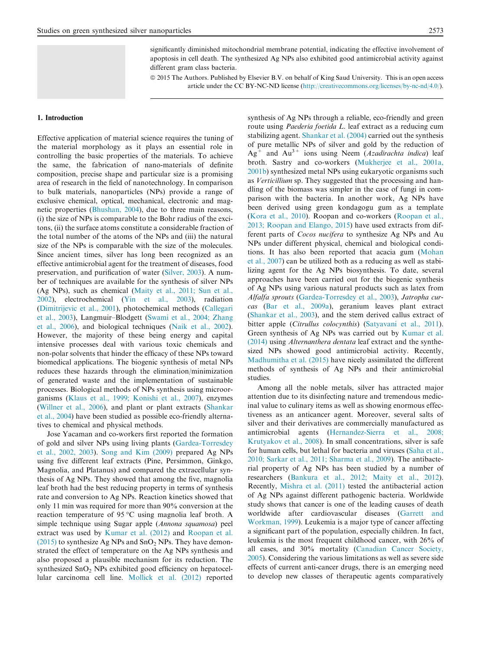significantly diminished mitochondrial membrane potential, indicating the effective involvement of apoptosis in cell death. The synthesized Ag NPs also exhibited good antimicrobial activity against different gram class bacteria.

ª 2015 The Authors. Published by Elsevier B.V. on behalf of King Saud University. This is an open access article under the CC BY-NC-ND license (http://creativecommons.org/licenses/by-nc-nd/4.0/).

## 1. Introduction

Effective application of material science requires the tuning of the material morphology as it plays an essential role in controlling the basic properties of the materials. To achieve the same, the fabrication of nano-materials of definite composition, precise shape and particular size is a promising area of research in the field of nanotechnology. In comparison to bulk materials, nanoparticles (NPs) provide a range of exclusive chemical, optical, mechanical, electronic and magnetic properties (Bhushan, 2004), due to three main reasons, (i) the size of NPs is comparable to the Bohr radius of the excitons, (ii) the surface atoms constitute a considerable fraction of the total number of the atoms of the NPs and (iii) the natural size of the NPs is comparable with the size of the molecules. Since ancient times, silver has long been recognized as an effective antimicrobial agent for the treatment of diseases, food preservation, and purification of water (Silver, 2003). A number of techniques are available for the synthesis of silver NPs (Ag NPs), such as chemical (Maity et al., 2011; Sun et al., 2002), electrochemical (Yin et al., 2003), radiation (Dimitrijevic et al., 2001), photochemical methods (Callegari et al., 2003), Langmuir–Blodgett (Swami et al., 2004; Zhang et al., 2006), and biological techniques (Naik et al., 2002). However, the majority of these being energy and capital intensive processes deal with various toxic chemicals and non-polar solvents that hinder the efficacy of these NPs toward biomedical applications. The biogenic synthesis of metal NPs reduces these hazards through the elimination/minimization of generated waste and the implementation of sustainable processes. Biological methods of NPs synthesis using microorganisms (Klaus et al., 1999; Konishi et al., 2007), enzymes (Willner et al., 2006), and plant or plant extracts (Shankar et al., 2004) have been studied as possible eco-friendly alternatives to chemical and physical methods.

Jose Yacaman and co-workers first reported the formation of gold and silver NPs using living plants (Gardea-Torresdey et al., 2002, 2003). Song and Kim (2009) prepared Ag NPs using five different leaf extracts (Pine, Persimmon, Ginkgo, Magnolia, and Platanus) and compared the extracellular synthesis of Ag NPs. They showed that among the five, magnolia leaf broth had the best reducing property in terms of synthesis rate and conversion to Ag NPs. Reaction kinetics showed that only 11 min was required for more than 90% conversion at the reaction temperature of 95 °C using magnolia leaf broth. A simple technique using Sugar apple (Annona squamosa) peel extract was used by Kumar et al. (2012) and Roopan et al. (2015) to synthesize Ag NPs and  $SnO<sub>2</sub>$  NPs. They have demonstrated the effect of temperature on the Ag NPs synthesis and also proposed a plausible mechanism for its reduction. The synthesized  $SnO<sub>2</sub>$  NPs exhibited good efficiency on hepatocellular carcinoma cell line. Mollick et al. (2012) reported synthesis of Ag NPs through a reliable, eco-friendly and green route using Paederia foetida L. leaf extract as a reducing cum stabilizing agent. Shankar et al. (2004) carried out the synthesis of pure metallic NPs of silver and gold by the reduction of  $Ag^+$  and  $Au^{3+}$  ions using Neem (Azadirachta indica) leaf broth. Sastry and co-workers (Mukherjee et al., 2001a, 2001b) synthesized metal NPs using eukaryotic organisms such as Verticillium sp. They suggested that the processing and handling of the biomass was simpler in the case of fungi in comparison with the bacteria. In another work, Ag NPs have been derived using green kondagogu gum as a template (Kora et al., 2010). Roopan and co-workers (Roopan et al., 2013; Roopan and Elango, 2015) have used extracts from different parts of Cocos nucifera to synthesize Ag NPs and Au NPs under different physical, chemical and biological conditions. It has also been reported that acacia gum (Mohan et al., 2007) can be utilized both as a reducing as well as stabilizing agent for the Ag NPs biosynthesis. To date, several approaches have been carried out for the biogenic synthesis of Ag NPs using various natural products such as latex from Alfalfa sprouts (Gardea-Torresdey et al., 2003), Jatropha curcas (Bar et al., 2009a), geranium leaves plant extract (Shankar et al., 2003), and the stem derived callus extract of bitter apple (Citrullus colocynthis) (Satyavani et al., 2011). Green synthesis of Ag NPs was carried out by Kumar et al. (2014) using Alternanthera dentata leaf extract and the synthesized NPs showed good antimicrobial activity. Recently, Madhumitha et al. (2015) have nicely assimilated the different methods of synthesis of Ag NPs and their antimicrobial studies.

Among all the noble metals, silver has attracted major attention due to its disinfecting nature and tremendous medicinal value to culinary items as well as showing enormous effectiveness as an anticancer agent. Moreover, several salts of silver and their derivatives are commercially manufactured as antimicrobial agents (Hernandez-Sierra et al., 2008; Krutyakov et al., 2008). In small concentrations, silver is safe for human cells, but lethal for bacteria and viruses (Saha et al., 2010; Sarkar et al., 2011; Sharma et al., 2009). The antibacterial property of Ag NPs has been studied by a number of researchers (Bankura et al., 2012; Maity et al., 2012). Recently, Mishra et al. (2011) tested the antibacterial action of Ag NPs against different pathogenic bacteria. Worldwide study shows that cancer is one of the leading causes of death worldwide after cardiovascular diseases (Garrett and Workman, 1999). Leukemia is a major type of cancer affecting a significant part of the population, especially children. In fact, leukemia is the most frequent childhood cancer, with 26% of all cases, and 30% mortality (Canadian Cancer Society, 2005). Considering the various limitations as well as severe side effects of current anti-cancer drugs, there is an emerging need to develop new classes of therapeutic agents comparatively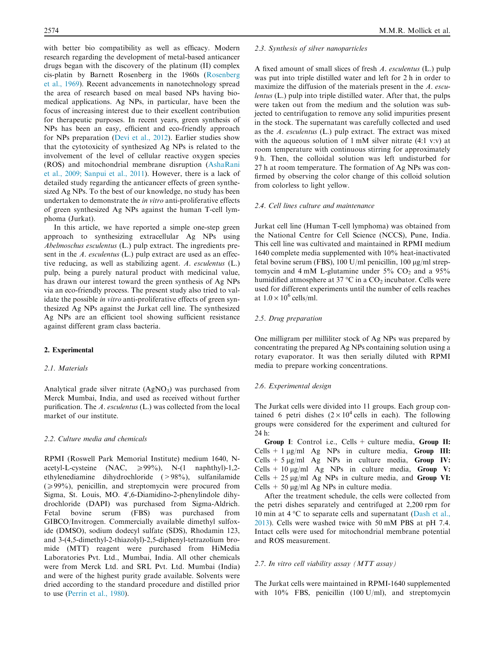with better bio compatibility as well as efficacy. Modern research regarding the development of metal-based anticancer drugs began with the discovery of the platinum (II) complex cis-platin by Barnett Rosenberg in the 1960s (Rosenberg et al., 1969). Recent advancements in nanotechnology spread the area of research based on meal based NPs having biomedical applications. Ag NPs, in particular, have been the focus of increasing interest due to their excellent contribution for therapeutic purposes. In recent years, green synthesis of NPs has been an easy, efficient and eco-friendly approach for NPs preparation (Devi et al., 2012). Earlier studies show that the cytotoxicity of synthesized Ag NPs is related to the involvement of the level of cellular reactive oxygen species (ROS) and mitochondrial membrane disruption (AshaRani et al., 2009; Sanpui et al., 2011). However, there is a lack of detailed study regarding the anticancer effects of green synthesized Ag NPs. To the best of our knowledge, no study has been undertaken to demonstrate the in vitro anti-proliferative effects of green synthesized Ag NPs against the human T-cell lymphoma (Jurkat).

In this article, we have reported a simple one-step green approach to synthesizing extracellular Ag NPs using Abelmoschus esculentus (L.) pulp extract. The ingredients present in the A. esculentus (L.) pulp extract are used as an effective reducing, as well as stabilizing agent. A. esculentus (L.) pulp, being a purely natural product with medicinal value, has drawn our interest toward the green synthesis of Ag NPs via an eco-friendly process. The present study also tried to validate the possible *in vitro* anti-proliferative effects of green synthesized Ag NPs against the Jurkat cell line. The synthesized Ag NPs are an efficient tool showing sufficient resistance against different gram class bacteria.

#### 2. Experimental

# 2.1. Materials

Analytical grade silver nitrate  $(AgNO<sub>3</sub>)$  was purchased from Merck Mumbai, India, and used as received without further purification. The A. esculentus (L.) was collected from the local market of our institute.

#### 2.2. Culture media and chemicals

RPMI (Roswell Park Memorial Institute) medium 1640, Nacetyl-L-cysteine (NAC,  $\geq 99\%$ ), N-(1 naphthyl)-1,2ethylenediamine dihydrochloride (>98%), sulfanilamide  $(\geq 99\%)$ , penicillin, and streptomycin were procured from Sigma, St. Louis, MO. 4',6-Diamidino-2-phenylindole dihydrochloride (DAPI) was purchased from Sigma-Aldrich. Fetal bovine serum (FBS) was purchased from GIBCO/Invitrogen. Commercially available dimethyl sulfoxide (DMSO), sodium dodecyl sulfate (SDS), Rhodamin 123, and 3-(4,5-dimethyl-2-thiazolyl)-2,5-diphenyl-tetrazolium bromide (MTT) reagent were purchased from HiMedia Laboratories Pvt. Ltd., Mumbai, India. All other chemicals were from Merck Ltd. and SRL Pvt. Ltd. Mumbai (India) and were of the highest purity grade available. Solvents were dried according to the standard procedure and distilled prior to use (Perrin et al., 1980).

#### 2.3. Synthesis of silver nanoparticles

A fixed amount of small slices of fresh A. esculentus (L.) pulp was put into triple distilled water and left for 2 h in order to maximize the diffusion of the materials present in the A. esculentus (L.) pulp into triple distilled water. After that, the pulps were taken out from the medium and the solution was subjected to centrifugation to remove any solid impurities present in the stock. The supernatant was carefully collected and used as the A. esculentus (L.) pulp extract. The extract was mixed with the aqueous solution of 1 mM silver nitrate (4:1 v:v) at room temperature with continuous stirring for approximately 9 h. Then, the colloidal solution was left undisturbed for 27 h at room temperature. The formation of Ag NPs was confirmed by observing the color change of this colloid solution from colorless to light yellow.

# 2.4. Cell lines culture and maintenance

Jurkat cell line (Human T-cell lymphoma) was obtained from the National Centre for Cell Science (NCCS), Pune, India. This cell line was cultivated and maintained in RPMI medium 1640 complete media supplemented with 10% heat-inactivated fetal bovine serum (FBS), 100 U/ml penicillin, 100  $\mu$ g/ml streptomycin and  $4 \text{ mM } L$ -glutamine under  $5\%$  CO<sub>2</sub> and a  $95\%$ humidified atmosphere at 37 °C in a  $CO<sub>2</sub>$  incubator. Cells were used for different experiments until the number of cells reaches at  $1.0 \times 10^6$  cells/ml.

## 2.5. Drug preparation

One milligram per milliliter stock of Ag NPs was prepared by concentrating the prepared Ag NPs containing solution using a rotary evaporator. It was then serially diluted with RPMI media to prepare working concentrations.

#### 2.6. Experimental design

The Jurkat cells were divided into 11 groups. Each group contained 6 petri dishes  $(2 \times 10^4 \text{ cells in each})$ . The following groups were considered for the experiment and cultured for 24 h:

Group I: Control i.e., Cells + culture media, Group II: Cells + 1  $\mu$ g/ml Ag NPs in culture media, Group III: Cells + 5  $\mu$ g/ml Ag NPs in culture media, Group IV: Cells + 10  $\mu$ g/ml Ag NPs in culture media, Group V: Cells  $+ 25 \mu g/ml$  Ag NPs in culture media, and Group VI: Cells  $+50 \mu g/ml$  Ag NPs in culture media.

After the treatment schedule, the cells were collected from the petri dishes separately and centrifuged at 2,200 rpm for 10 min at 4 °C to separate cells and supernatant (Dash et al., 2013). Cells were washed twice with 50 mM PBS at pH 7.4. Intact cells were used for mitochondrial membrane potential and ROS measurement.

#### 2.7. In vitro cell viability assay (MTT assay)

The Jurkat cells were maintained in RPMI-1640 supplemented with 10% FBS, penicillin (100 U/ml), and streptomycin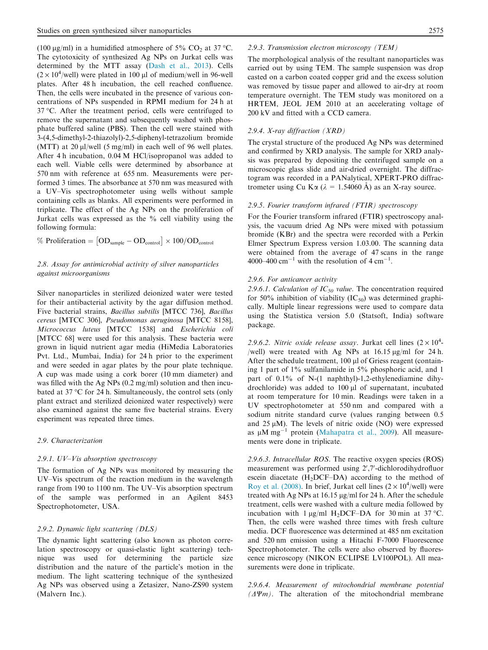(100 µg/ml) in a humidified atmosphere of 5% CO<sub>2</sub> at 37 °C. The cytotoxicity of synthesized Ag NPs on Jurkat cells was determined by the MTT assay (Dash et al., 2013). Cells  $(2 \times 10^4/\text{well})$  were plated in 100 µl of medium/well in 96-well plates. After 48 h incubation, the cell reached confluence. Then, the cells were incubated in the presence of various concentrations of NPs suspended in RPMI medium for 24 h at 37 °C. After the treatment period, cells were centrifuged to remove the supernatant and subsequently washed with phosphate buffered saline (PBS). Then the cell were stained with 3-(4,5-dimethyl-2-thiazolyl)-2,5-diphenyl-tetrazolium bromide (MTT) at 20  $\mu$ l/well (5 mg/ml) in each well of 96 well plates. After 4 h incubation, 0.04 M HCl/isopropanol was added to each well. Viable cells were determined by absorbance at 570 nm with reference at 655 nm. Measurements were performed 3 times. The absorbance at 570 nm was measured with a UV–Vis spectrophotometer using wells without sample containing cells as blanks. All experiments were performed in triplicate. The effect of the Ag NPs on the proliferation of Jurkat cells was expressed as the % cell viability using the following formula:

% Proliferation =  $[OD_{\text{sample}} - OD_{\text{control}}] \times 100/OD_{\text{control}}$ 

# 2.8. Assay for antimicrobial activity of silver nanoparticles against microorganisms

Silver nanoparticles in sterilized deionized water were tested for their antibacterial activity by the agar diffusion method. Five bacterial strains, Bacillus subtilis [MTCC 736], Bacillus cereus [MTCC 306], Pseudomonas aeruginosa [MTCC 8158], Micrococcus luteus [MTCC 1538] and Escherichia coli [MTCC 68] were used for this analysis. These bacteria were grown in liquid nutrient agar media (HiMedia Laboratories Pvt. Ltd., Mumbai, India) for 24 h prior to the experiment and were seeded in agar plates by the pour plate technique. A cup was made using a cork borer (10 mm diameter) and was filled with the Ag NPs (0.2 mg/ml) solution and then incubated at 37 °C for 24 h. Simultaneously, the control sets (only plant extract and sterilized deionized water respectively) were also examined against the same five bacterial strains. Every experiment was repeated three times.

# 2.9. Characterization

# 2.9.1. UV–Vis absorption spectroscopy

The formation of Ag NPs was monitored by measuring the UV–Vis spectrum of the reaction medium in the wavelength range from 190 to 1100 nm. The UV–Vis absorption spectrum of the sample was performed in an Agilent 8453 Spectrophotometer, USA.

# 2.9.2. Dynamic light scattering (DLS)

The dynamic light scattering (also known as photon correlation spectroscopy or quasi-elastic light scattering) technique was used for determining the particle size distribution and the nature of the particle's motion in the medium. The light scattering technique of the synthesized Ag NPs was observed using a Zetasizer, Nano-ZS90 system (Malvern Inc.).

# 2.9.3. Transmission electron microscopy (TEM)

The morphological analysis of the resultant nanoparticles was carried out by using TEM. The sample suspension was drop casted on a carbon coated copper grid and the excess solution was removed by tissue paper and allowed to air-dry at room temperature overnight. The TEM study was monitored on a HRTEM, JEOL JEM 2010 at an accelerating voltage of 200 kV and fitted with a CCD camera.

## 2.9.4. X-ray diffraction (XRD)

The crystal structure of the produced Ag NPs was determined and confirmed by XRD analysis. The sample for XRD analysis was prepared by depositing the centrifuged sample on a microscopic glass slide and air-dried overnight. The diffractogram was recorded in a PANalytical, XPERT-PRO diffractrometer using Cu K $\alpha$  ( $\lambda = 1.54060$  Å) as an X-ray source.

### 2.9.5. Fourier transform infrared (FTIR) spectroscopy

For the Fourier transform infrared (FTIR) spectroscopy analysis, the vacuum dried Ag NPs were mixed with potassium bromide (KBr) and the spectra were recorded with a Perkin Elmer Spectrum Express version 1.03.00. The scanning data were obtained from the average of 47 scans in the range 4000–400 cm<sup>-1</sup> with the resolution of 4 cm<sup>-1</sup>.

#### 2.9.6. For anticancer activity

2.9.6.1. Calculation of  $IC_{50}$  value. The concentration required for 50% inhibition of viability  $(IC_{50})$  was determined graphically. Multiple linear regressions were used to compare data using the Statistica version 5.0 (Statsoft, India) software package.

2.9.6.2. Nitric oxide release assay. Jurkat cell lines  $(2 \times 10^4$ -/well) were treated with Ag NPs at  $16.15 \,\mu$ g/ml for 24 h. After the schedule treatment,  $100 \mu l$  of Griess reagent (containing 1 part of 1% sulfanilamide in 5% phosphoric acid, and 1 part of 0.1% of N-(1 naphthyl)-1,2-ethylenediamine dihydrochloride) was added to 100 µl of supernatant, incubated at room temperature for 10 min. Readings were taken in a UV spectrophotometer at 550 nm and compared with a sodium nitrite standard curve (values ranging between 0.5 and  $25 \mu M$ ). The levels of nitric oxide (NO) were expressed as  $\mu$ M mg<sup>-1</sup> protein (Mahapatra et al., 2009). All measurements were done in triplicate.

2.9.6.3. Intracellular ROS. The reactive oxygen species (ROS) measurement was performed using 2',7'-dichlorodihydrofluor escein diacetate  $(H<sub>2</sub>DCF–DA)$  according to the method of Roy et al. (2008). In brief, Jurkat cell lines ( $2 \times 10^4$ /well) were treated with Ag NPs at 16.15 µg/ml for 24 h. After the schedule treatment, cells were washed with a culture media followed by incubation with 1  $\mu$ g/ml H<sub>2</sub>DCF–DA for 30 min at 37 °C. Then, the cells were washed three times with fresh culture media. DCF fluorescence was determined at 485 nm excitation and 520 nm emission using a Hitachi F-7000 Fluorescence Spectrophotometer. The cells were also observed by fluorescence microscopy (NIKON ECLIPSE LV100POL). All measurements were done in triplicate.

2.9.6.4. Measurement of mitochondrial membrane potential  $(\Delta \Psi m)$ . The alteration of the mitochondrial membrane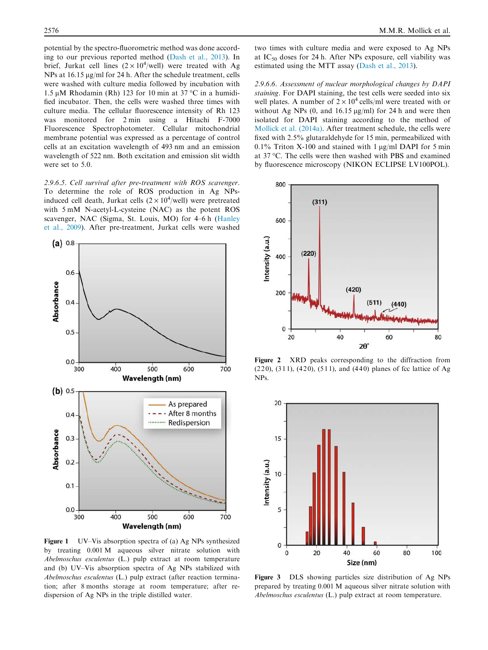potential by the spectro-fluorometric method was done according to our previous reported method (Dash et al., 2013). In brief, Jurkat cell lines  $(2 \times 10^4/\text{well})$  were treated with Ag NPs at 16.15  $\mu$ g/ml for 24 h. After the schedule treatment, cells were washed with culture media followed by incubation with 1.5 μM Rhodamin (Rh) 123 for 10 min at 37 °C in a humidified incubator. Then, the cells were washed three times with culture media. The cellular fluorescence intensity of Rh 123 was monitored for 2 min using a Hitachi F-7000 Fluorescence Spectrophotometer. Cellular mitochondrial membrane potential was expressed as a percentage of control cells at an excitation wavelength of 493 nm and an emission wavelength of 522 nm. Both excitation and emission slit width were set to 5.0.

2.9.6.5. Cell survival after pre-treatment with ROS scavenger. To determine the role of ROS production in Ag NPsinduced cell death, Jurkat cells  $(2 \times 10^4/\text{well})$  were pretreated with 5 mM N-acetyl-L-cysteine (NAC) as the potent ROS scavenger, NAC (Sigma, St. Louis, MO) for 4–6 h (Hanley et al., 2009). After pre-treatment, Jurkat cells were washed



Figure 1 UV–Vis absorption spectra of (a) Ag NPs synthesized by treating 0.001 M aqueous silver nitrate solution with Abelmoschus esculentus (L.) pulp extract at room temperature and (b) UV–Vis absorption spectra of Ag NPs stabilized with Abelmoschus esculentus (L.) pulp extract (after reaction termination; after 8 months storage at room temperature; after redispersion of Ag NPs in the triple distilled water.

two times with culture media and were exposed to Ag NPs at  $IC_{50}$  doses for 24 h. After NPs exposure, cell viability was estimated using the MTT assay (Dash et al., 2013).

2.9.6.6. Assessment of nuclear morphological changes by DAPI staining. For DAPI staining, the test cells were seeded into six well plates. A number of  $2 \times 10^4$  cells/ml were treated with or without Ag NPs  $(0, \text{ and } 16.15 \text{ µg/ml})$  for 24 h and were then isolated for DAPI staining according to the method of Mollick et al. (2014a). After treatment schedule, the cells were fixed with 2.5% glutaraldehyde for 15 min, permeabilized with 0.1% Triton X-100 and stained with 1  $\mu$ g/ml DAPI for 5 min at 37 °C. The cells were then washed with PBS and examined by fluorescence microscopy (NIKON ECLIPSE LV100POL).



Figure 2 XRD peaks corresponding to the diffraction from (220), (311), (420), (511), and (440) planes of fcc lattice of Ag NPs.



Figure 3 DLS showing particles size distribution of Ag NPs prepared by treating 0.001 M aqueous silver nitrate solution with Abelmoschus esculentus (L.) pulp extract at room temperature.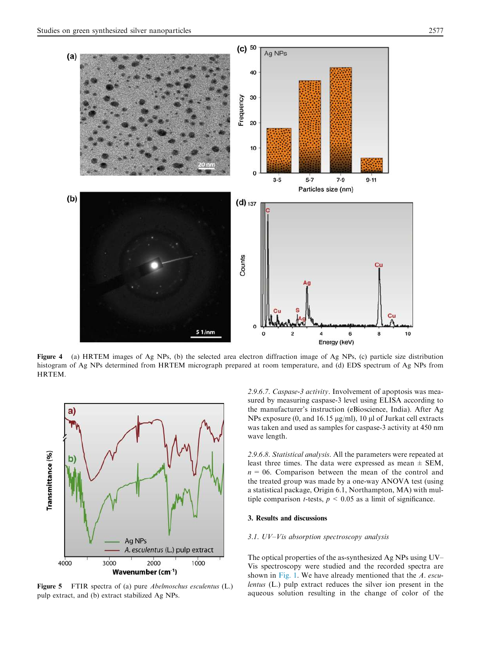

Figure 4 (a) HRTEM images of Ag NPs, (b) the selected area electron diffraction image of Ag NPs, (c) particle size distribution histogram of Ag NPs determined from HRTEM micrograph prepared at room temperature, and (d) EDS spectrum of Ag NPs from HRTEM.



Figure 5 FTIR spectra of (a) pure Abelmoschus esculentus (L.) pulp extract, and (b) extract stabilized Ag NPs.

2.9.6.7. Caspase-3 activity. Involvement of apoptosis was measured by measuring caspase-3 level using ELISA according to the manufacturer's instruction (eBioscience, India). After Ag NPs exposure (0, and 16.15  $\mu$ g/ml), 10  $\mu$ l of Jurkat cell extracts was taken and used as samples for caspase-3 activity at 450 nm wave length.

2.9.6.8. Statistical analysis. All the parameters were repeated at least three times. The data were expressed as mean  $\pm$  SEM,  $n = 06$ . Comparison between the mean of the control and the treated group was made by a one-way ANOVA test (using a statistical package, Origin 6.1, Northampton, MA) with multiple comparison *t*-tests,  $p \le 0.05$  as a limit of significance.

# 3. Results and discussions

#### 3.1. UV–Vis absorption spectroscopy analysis

The optical properties of the as-synthesized Ag NPs using UV– Vis spectroscopy were studied and the recorded spectra are shown in Fig. 1. We have already mentioned that the A. esculentus (L.) pulp extract reduces the silver ion present in the aqueous solution resulting in the change of color of the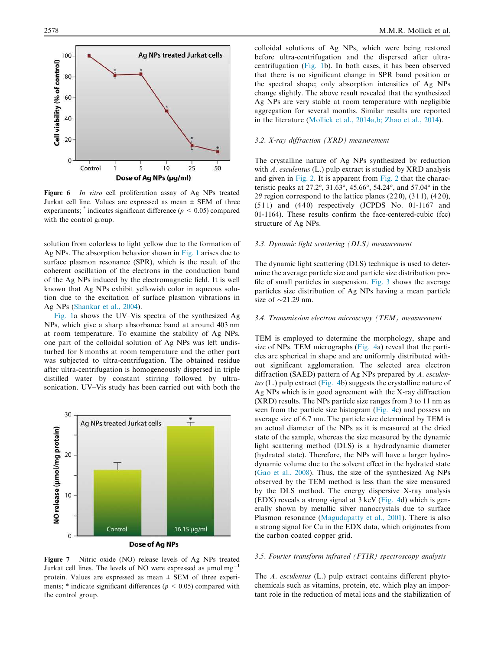

Figure 6 In vitro cell proliferation assay of Ag NPs treated Jurkat cell line. Values are expressed as mean  $\pm$  SEM of three experiments;  $*$  indicates significant difference ( $p < 0.05$ ) compared with the control group.

solution from colorless to light yellow due to the formation of Ag NPs. The absorption behavior shown in Fig. 1 arises due to surface plasmon resonance (SPR), which is the result of the coherent oscillation of the electrons in the conduction band of the Ag NPs induced by the electromagnetic field. It is well known that Ag NPs exhibit yellowish color in aqueous solution due to the excitation of surface plasmon vibrations in Ag NPs (Shankar et al., 2004).

Fig. 1a shows the UV–Vis spectra of the synthesized Ag NPs, which give a sharp absorbance band at around 403 nm at room temperature. To examine the stability of Ag NPs, one part of the colloidal solution of Ag NPs was left undisturbed for 8 months at room temperature and the other part was subjected to ultra-centrifugation. The obtained residue after ultra-centrifugation is homogeneously dispersed in triple distilled water by constant stirring followed by ultrasonication. UV–Vis study has been carried out with both the



Figure 7 Nitric oxide (NO) release levels of Ag NPs treated Jurkat cell lines. The levels of NO were expressed as  $\mu$ mol mg<sup>-1</sup> protein. Values are expressed as mean  $\pm$  SEM of three experiments;  $*$  indicate significant differences ( $p < 0.05$ ) compared with the control group.

colloidal solutions of Ag NPs, which were being restored before ultra-centrifugation and the dispersed after ultracentrifugation (Fig. 1b). In both cases, it has been observed that there is no significant change in SPR band position or the spectral shape; only absorption intensities of Ag NPs change slightly. The above result revealed that the synthesized Ag NPs are very stable at room temperature with negligible aggregation for several months. Similar results are reported in the literature (Mollick et al., 2014a,b; Zhao et al., 2014).

#### 3.2. X-ray diffraction (XRD) measurement

The crystalline nature of Ag NPs synthesized by reduction with A. esculentus (L.) pulp extract is studied by XRD analysis and given in Fig. 2. It is apparent from Fig. 2 that the characteristic peaks at 27.2°, 31.63°, 45.66°, 54.24°, and 57.04° in the  $2\theta$  region correspond to the lattice planes (220), (311), (420),  $(511)$  and  $(440)$  respectively (JCPDS No. 01-1167 and 01-1164). These results confirm the face-centered-cubic (fcc) structure of Ag NPs.

#### 3.3. Dynamic light scattering (DLS) measurement

The dynamic light scattering (DLS) technique is used to determine the average particle size and particle size distribution profile of small particles in suspension. Fig. 3 shows the average particles size distribution of Ag NPs having a mean particle size of  $\sim$ 21.29 nm.

#### 3.4. Transmission electron microscopy (TEM) measurement

TEM is employed to determine the morphology, shape and size of NPs. TEM micrographs (Fig. 4a) reveal that the particles are spherical in shape and are uniformly distributed without significant agglomeration. The selected area electron diffraction (SAED) pattern of Ag NPs prepared by A. esculentus (L.) pulp extract (Fig. 4b) suggests the crystalline nature of Ag NPs which is in good agreement with the X-ray diffraction (XRD) results. The NPs particle size ranges from 3 to 11 nm as seen from the particle size histogram (Fig. 4c) and possess an average size of 6.7 nm. The particle size determined by TEM is an actual diameter of the NPs as it is measured at the dried state of the sample, whereas the size measured by the dynamic light scattering method (DLS) is a hydrodynamic diameter (hydrated state). Therefore, the NPs will have a larger hydrodynamic volume due to the solvent effect in the hydrated state (Gao et al., 2008). Thus, the size of the synthesized Ag NPs observed by the TEM method is less than the size measured by the DLS method. The energy dispersive X-ray analysis (EDX) reveals a strong signal at 3 keV (Fig. 4d) which is generally shown by metallic silver nanocrystals due to surface Plasmon resonance (Magudapatty et al., 2001). There is also a strong signal for Cu in the EDX data, which originates from the carbon coated copper grid.

## 3.5. Fourier transform infrared (FTIR) spectroscopy analysis

The A. esculentus (L.) pulp extract contains different phytochemicals such as vitamins, protein, etc. which play an important role in the reduction of metal ions and the stabilization of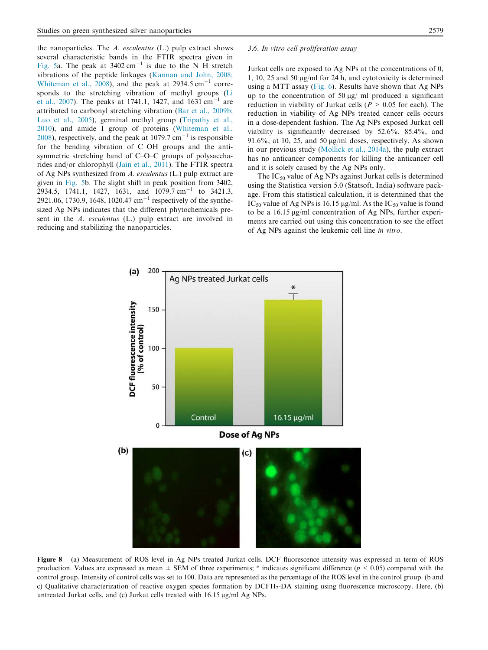the nanoparticles. The A. esculentus (L.) pulp extract shows

given in Fig. 5b. The slight shift in peak position from 3402,  $2934.5$ , 1741.1, 1427, 1631, and 1079.7 cm<sup>-1</sup> to 3421.3, 2921.06, 1730.9, 1648, 1020.47  $cm^{-1}$  respectively of the synthesized Ag NPs indicates that the different phytochemicals present in the A. esculentus (L.) pulp extract are involved in

reducing and stabilizing the nanoparticles.

3.6. In vitro cell proliferation assay

several characteristic bands in the FTIR spectra given in Fig. 5a. The peak at  $3402 \text{ cm}^{-1}$  is due to the N-H stretch vibrations of the peptide linkages (Kannan and John, 2008; Whiteman et al.,  $2008$ ), and the peak at 2934.5 cm<sup>-1</sup> corresponds to the stretching vibration of methyl groups (Li et al., 2007). The peaks at 1741.1, 1427, and 1631 cm<sup>-1</sup> are attributed to carbonyl stretching vibration (Bar et al., 2009b; Luo et al., 2005), germinal methyl group (Tripathy et al., 2010), and amide I group of proteins (Whiteman et al.,  $2008$ ), respectively, and the peak at 1079.7 cm<sup>-1</sup> is responsible for the bending vibration of C–OH groups and the antisymmetric stretching band of C–O–C groups of polysaccharides and/or chlorophyll (Jain et al., 2011). The FTIR spectra of Ag NPs synthesized from A. esculentus (L.) pulp extract are Jurkat cells are exposed to Ag NPs at the concentrations of 0, 1, 10, 25 and 50 lg/ml for 24 h, and cytotoxicity is determined using a MTT assay (Fig. 6). Results have shown that Ag NPs up to the concentration of 50  $\mu$ g/ ml produced a significant reduction in viability of Jurkat cells ( $P > 0.05$  for each). The reduction in viability of Ag NPs treated cancer cells occurs in a dose-dependent fashion. The Ag NPs exposed Jurkat cell viability is significantly decreased by 52.6%, 85.4%, and 91.6%, at 10, 25, and 50  $\mu$ g/ml doses, respectively. As shown in our previous study (Mollick et al., 2014a), the pulp extract has no anticancer components for killing the anticancer cell and it is solely caused by the Ag NPs only.

The  $IC_{50}$  value of Ag NPs against Jurkat cells is determined using the Statistica version 5.0 (Statsoft, India) software package. From this statistical calculation, it is determined that the IC<sub>50</sub> value of Ag NPs is 16.15 µg/ml. As the IC<sub>50</sub> value is found to be a  $16.15 \,\mathrm{\upmu g/mL}$  concentration of Ag NPs, further experiments are carried out using this concentration to see the effect of Ag NPs against the leukemic cell line in vitro.



Figure 8 (a) Measurement of ROS level in Ag NPs treated Jurkat cells. DCF fluorescence intensity was expressed in term of ROS production. Values are expressed as mean  $\pm$  SEM of three experiments; \* indicates significant difference ( $p < 0.05$ ) compared with the control group. Intensity of control cells was set to 100. Data are represented as the percentage of the ROS level in the control group. (b and c) Qualitative characterization of reactive oxygen species formation by DCFH<sub>2</sub>-DA staining using fluorescence microscopy. Here, (b) untreated Jurkat cells, and (c) Jurkat cells treated with  $16.15 \,\mu g/ml$  Ag NPs.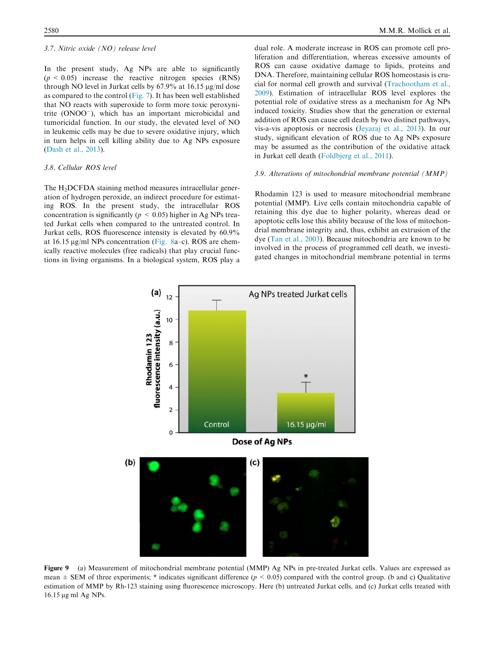## 3.7. Nitric oxide (NO) release level

In the present study, Ag NPs are able to significantly  $(p \le 0.05)$  increase the reactive nitrogen species (RNS) through NO level in Jurkat cells by  $67.9\%$  at  $16.15 \text{ µg/ml dose}$ as compared to the control (Fig. 7). It has been well established that NO reacts with superoxide to form more toxic peroxynitrite (ONOO- ), which has an important microbicidal and tumoricidal function. In our study, the elevated level of NO in leukemic cells may be due to severe oxidative injury, which in turn helps in cell killing ability due to Ag NPs exposure (Dash et al., 2013).

# 3.8. Cellular ROS level

The H<sub>2</sub>DCFDA staining method measures intracellular generation of hydrogen peroxide, an indirect procedure for estimating ROS. In the present study, the intracellular ROS concentration is significantly ( $p < 0.05$ ) higher in Ag NPs treated Jurkat cells when compared to the untreated control. In Jurkat cells, ROS fluorescence intensity is elevated by 60.9% at 16.15 µg/ml NPs concentration (Fig. 8a–c). ROS are chemically reactive molecules (free radicals) that play crucial functions in living organisms. In a biological system, ROS play a

dual role. A moderate increase in ROS can promote cell proliferation and differentiation, whereas excessive amounts of ROS can cause oxidative damage to lipids, proteins and DNA. Therefore, maintaining cellular ROS homeostasis is crucial for normal cell growth and survival (Trachootham et al., 2009). Estimation of intracellular ROS level explores the potential role of oxidative stress as a mechanism for Ag NPs induced toxicity. Studies show that the generation or external addition of ROS can cause cell death by two distinct pathways, vis-a-vis apoptosis or necrosis (Jeyaraj et al., 2013). In our study, significant elevation of ROS due to Ag NPs exposure may be assumed as the contribution of the oxidative attack in Jurkat cell death (Foldbjerg et al., 2011).

# 3.9. Alterations of mitochondrial membrane potential (MMP)

Rhodamin 123 is used to measure mitochondrial membrane potential (MMP). Live cells contain mitochondria capable of retaining this dye due to higher polarity, whereas dead or apoptotic cells lose this ability because of the loss of mitochondrial membrane integrity and, thus, exhibit an extrusion of the dye (Tan et al., 2003). Because mitochondria are known to be involved in the process of programmed cell death, we investigated changes in mitochondrial membrane potential in terms



Figure 9 (a) Measurement of mitochondrial membrane potential (MMP) Ag NPs in pre-treated Jurkat cells. Values are expressed as mean  $\pm$  SEM of three experiments; \* indicates significant difference ( $p < 0.05$ ) compared with the control group. (b and c) Qualitative estimation of MMP by Rh-123 staining using fluorescence microscopy. Here (b) untreated Jurkat cells, and (c) Jurkat cells treated with 16.15 μg ml Ag NPs.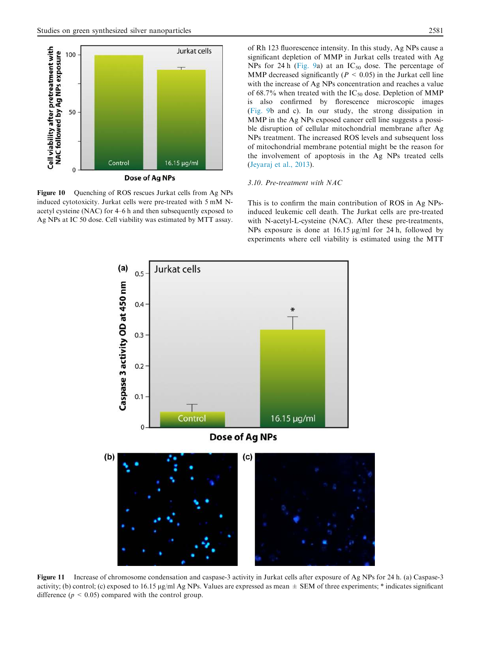

Figure 10 Quenching of ROS rescues Jurkat cells from Ag NPs induced cytotoxicity. Jurkat cells were pre-treated with 5 mM Nacetyl cysteine (NAC) for 4–6 h and then subsequently exposed to Ag NPs at IC 50 dose. Cell viability was estimated by MTT assay.

(Fig. 9b and c). In our study, the strong dissipation in MMP in the Ag NPs exposed cancer cell line suggests a possible disruption of cellular mitochondrial membrane after Ag NPs treatment. The increased ROS levels and subsequent loss of mitochondrial membrane potential might be the reason for the involvement of apoptosis in the Ag NPs treated cells (Jeyaraj et al., 2013).

# 3.10. Pre-treatment with NAC

This is to confirm the main contribution of ROS in Ag NPsinduced leukemic cell death. The Jurkat cells are pre-treated with N-acetyl-L-cysteine (NAC). After these pre-treatments, NPs exposure is done at  $16.15 \mu g/ml$  for 24 h, followed by experiments where cell viability is estimated using the MTT



Figure 11 Increase of chromosome condensation and caspase-3 activity in Jurkat cells after exposure of Ag NPs for 24 h. (a) Caspase-3 activity; (b) control; (c) exposed to 16.15  $\mu$ g/ml Ag NPs. Values are expressed as mean  $\pm$  SEM of three experiments; \* indicates significant difference ( $p < 0.05$ ) compared with the control group.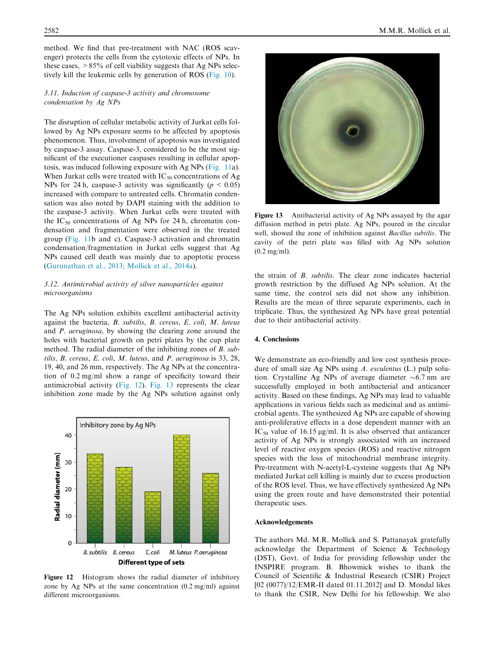method. We find that pre-treatment with NAC (ROS scavenger) protects the cells from the cytotoxic effects of NPs. In these cases,  $>85\%$  of cell viability suggests that Ag NPs selectively kill the leukemic cells by generation of ROS (Fig. 10).

# 3.11. Induction of caspase-3 activity and chromosome condensation by Ag NPs

The disruption of cellular metabolic activity of Jurkat cells followed by Ag NPs exposure seems to be affected by apoptosis phenomenon. Thus, involvement of apoptosis was investigated by caspase-3 assay. Caspase-3, considered to be the most significant of the executioner caspases resulting in cellular apoptosis, was induced following exposure with Ag NPs (Fig. 11a). When Jurkat cells were treated with  $IC_{50}$  concentrations of Ag NPs for 24 h, caspase-3 activity was significantly ( $p \le 0.05$ ) increased with compare to untreated cells. Chromatin condensation was also noted by DAPI staining with the addition to the caspase-3 activity. When Jurkat cells were treated with the  $IC_{50}$  concentrations of Ag NPs for 24 h, chromatin condensation and fragmentation were observed in the treated group (Fig. 11b and c). Caspase-3 activation and chromatin condensation/fragmentation in Jurkat cells suggest that Ag NPs caused cell death was mainly due to apoptotic process (Gurunathan et al., 2013; Mollick et al., 2014a).

# 3.12. Antimicrobial activity of silver nanoparticles against microorganisms

The Ag NPs solution exhibits excellent antibacterial activity against the bacteria, B. subtilis, B. cereus, E. coli, M. luteus and P. aeruginosa, by showing the clearing zone around the holes with bacterial growth on petri plates by the cup plate method. The radial diameter of the inhibiting zones of B. subtilis, B. cereus, E. coli, M. luteus, and P. aeruginosa is 33, 28, 19, 40, and 26 mm, respectively. The Ag NPs at the concentration of 0.2 mg/ml show a range of specificity toward their antimicrobial activity (Fig. 12). Fig. 13 represents the clear inhibition zone made by the Ag NPs solution against only



Figure 12 Histogram shows the radial diameter of inhibitory zone by Ag NPs at the same concentration (0.2 mg/ml) against different microorganisms.



Figure 13 Antibacterial activity of Ag NPs assayed by the agar diffusion method in petri plate. Ag NPs, poured in the circular well, showed the zone of inhibition against Bacillus subtilis. The cavity of the petri plate was filled with Ag NPs solution (0.2 mg/ml).

the strain of B. subtilis. The clear zone indicates bacterial growth restriction by the diffused Ag NPs solution. At the same time, the control sets did not show any inhibition. Results are the mean of three separate experiments, each in triplicate. Thus, the synthesized Ag NPs have great potential due to their antibacterial activity.

# 4. Conclusions

We demonstrate an eco-friendly and low cost synthesis procedure of small size Ag NPs using A. esculentus (L.) pulp solution. Crystalline Ag NPs of average diameter  $\sim 6.7$  nm are successfully employed in both antibacterial and anticancer activity. Based on these findings, Ag NPs may lead to valuable applications in various fields such as medicinal and as antimicrobial agents. The synthesized Ag NPs are capable of showing anti-proliferative effects in a dose dependent manner with an  $IC_{50}$  value of 16.15 µg/ml. It is also observed that anticancer activity of Ag NPs is strongly associated with an increased level of reactive oxygen species (ROS) and reactive nitrogen species with the loss of mitochondrial membrane integrity. Pre-treatment with N-acetyl-L-cysteine suggests that Ag NPs mediated Jurkat cell killing is mainly due to excess production of the ROS level. Thus, we have effectively synthesized Ag NPs using the green route and have demonstrated their potential therapeutic uses.

#### Acknowledgements

The authors Md. M.R. Mollick and S. Pattanayak gratefully acknowledge the Department of Science & Technology (DST), Govt. of India for providing fellowship under the INSPIRE program. B. Bhowmick wishes to thank the Council of Scientific & Industrial Research (CSIR) Project [02 (0077)/12/EMR-II dated 01.11.2012] and D. Mondal likes to thank the CSIR, New Delhi for his fellowship. We also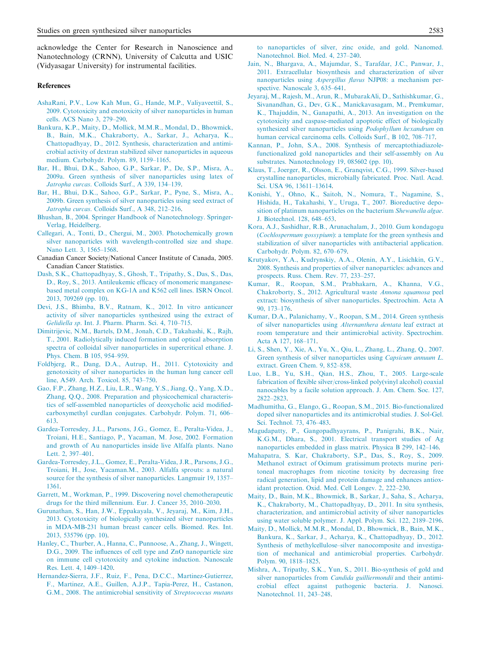acknowledge the Center for Research in Nanoscience and Nanotechnology (CRNN), University of Calcutta and USIC (Vidyasagar University) for instrumental facilities.

#### References

- AshaRani, P.V., Low Kah Mun, G., Hande, M.P., Valiyaveettil, S., 2009. Cytotoxicity and enotoxicity of silver nanoparticles in human cells. ACS Nano 3, 279–290.
- Bankura, K.P., Maity, D., Mollick, M.M.R., Mondal, D., Bhowmick, B., Bain, M.K., Chakraborty, A., Sarkar, J., Acharya, K., Chattopadhyay, D., 2012. Synthesis, characterization and antimicrobial activity of dextran stabilized silver nanoparticles in aqueous medium. Carbohydr. Polym. 89, 1159–1165.
- Bar, H., Bhui, D.K., Sahoo, G.P., Sarkar, P., De, S.P., Misra, A., 2009a. Green synthesis of silver nanoparticles using latex of Jatropha curcas. Colloids Surf., A 339, 134–139.
- Bar, H., Bhui, D.K., Sahoo, G.P., Sarkar, P., Pyne, S., Misra, A., 2009b. Green synthesis of silver nanoparticles using seed extract of Jatropha curcas. Colloids Surf., A 348, 212–216.
- Bhushan, B., 2004. Springer Handbook of Nanotechnology. Springer-Verlag, Heidelberg.
- Callegari, A., Tonti, D., Chergui, M., 2003. Photochemically grown silver nanoparticles with wavelength-controlled size and shape. Nano Lett. 3, 1565–1568.
- Canadian Cancer Society/National Cancer Institute of Canada, 2005. Canadian Cancer Statistics.
- Dash, S.K., Chattopadhyay, S., Ghosh, T., Tripathy, S., Das, S., Das, D., Roy, S., 2013. Antileukemic efficacy of monomeric manganesebased metal complex on KG-1A and K562 cell lines. ISRN Oncol. 2013, 709269 (pp. 10).
- Devi, J.S., Bhimba, B.V., Ratnam, K., 2012. In vitro anticancer activity of silver nanoparticles synthesized using the extract of Gelidiella sp. Int. J. Pharm. Pharm. Sci. 4, 710–715.
- Dimitrijevic, N.M., Bartels, D.M., Jonah, C.D., Takahashi, K., Rajh, T., 2001. Radiolytically induced formation and optical absorption spectra of colloidal silver nanoparticles in supercritical ethane. J. Phys. Chem. B 105, 954–959.
- Foldbjerg, R., Dang, D.A., Autrup, H., 2011. Cytotoxicity and genotoxicity of silver nanoparticles in the human lung cancer cell line, A549. Arch. Toxicol. 85, 743–750.
- Gao, F.P., Zhang, H.Z., Liu, L.R., Wang, Y.S., Jiang, Q., Yang, X.D., Zhang, Q.Q., 2008. Preparation and physicochemical characteristics of self-assembled nanoparticles of deoxycholic acid modifiedcarboxymethyl curdlan conjugates. Carbohydr. Polym. 71, 606– 613.
- Gardea-Torresdey, J.L., Parsons, J.G., Gomez, E., Peralta-Videa, J., Troiani, H.E., Santiago, P., Yacaman, M. Jose, 2002. Formation and growth of Au nanoparticles inside live Alfalfa plants. Nano Lett. 2, 397–401.
- Gardea-Torresdey, J.L., Gomez, E., Peralta-Videa, J.R., Parsons, J.G., Troiani, H., Jose, Yacaman.M., 2003. Alfalfa sprouts: a natural source for the synthesis of silver nanoparticles. Langmuir 19, 1357– 1361.
- Garrett, M., Workman, P., 1999. Discovering novel chemotherapeutic drugs for the third millennium. Eur. J. Cancer 35, 2010–2030.
- Gurunathan, S., Han, J.W., Eppakayala, V., Jeyaraj, M., Kim, J.H., 2013. Cytotoxicity of biologically synthesized silver nanoparticles in MDA-MB-231 human breast cancer cells. Biomed. Res. Int. 2013, 535796 (pp. 10).
- Hanley, C., Thurber, A., Hanna, C., Punnoose, A., Zhang, J., Wingett, D.G., 2009. The influences of cell type and ZnO nanoparticle size on immune cell cytotoxicity and cytokine induction. Nanoscale Res. Lett. 4, 1409–1420.
- Hernandez-Sierra, J.F., Ruiz, F., Pena, D.C.C., Martinez-Gutierrez, F., Martinez, A.E., Guillen, A.J.P., Tapia-Perez, H., Castanon, G.M., 2008. The antimicrobial sensitivity of Streptococcus mutans

to nanoparticles of silver, zinc oxide, and gold. Nanomed. Nanotechnol. Biol. Med. 4, 237–240.

- Jain, N., Bhargava, A., Majumdar, S., Tarafdar, J.C., Panwar, J., 2011. Extracellular biosynthesis and characterization of silver nanoparticles using Aspergillus flavus NJP08: a mechanism perspective. Nanoscale 3, 635–641.
- Jeyaraj, M., Rajesh, M., Arun, R., MubarakAli, D., Sathishkumar, G., Sivanandhan, G., Dev, G.K., Manickavasagam, M., Premkumar, K., Thajuddin, N., Ganapathi, A., 2013. An investigation on the cytotoxicity and caspase-mediated apoptotic effect of biologically synthesized silver nanoparticles using Podophyllum hexandrum on human cervical carcinoma cells. Colloids Surf., B 102, 708–717.
- Kannan, P., John, S.A., 2008. Synthesis of mercaptothiadiazolefunctionalized gold nanoparticles and their self-assembly on Au substrates. Nanotechnology 19, 085602 (pp. 10).
- Klaus, T., Joerger, R., Olsson, E., Granqvist, C.G., 1999. Silver-based crystalline nanoparticles, microbially fabricated. Proc. Natl. Acad. Sci. USA 96, 13611–13614.
- Konishi, Y., Ohno, K., Saitoh, N., Nomura, T., Nagamine, S., Hishida, H., Takahashi, Y., Uruga, T., 2007. Bioreductive deposition of platinum nanoparticles on the bacterium Shewanella algae. J. Biotechnol. 128, 648–653.
- Kora, A.J., Sashidhar, R.B., Arunachalam, J., 2010. Gum kondagogu (Cochlospermum gossypium): a template for the green synthesis and stabilization of silver nanoparticles with antibacterial application. Carbohydr. Polym. 82, 670–679.
- Krutyakov, Y.A., Kudrynskiy, A.A., Olenin, A.Y., Lisichkin, G.V., 2008. Synthesis and properties of silver nanoparticles: advances and prospects. Russ. Chem. Rev. 77, 233–257.
- Kumar, R., Roopan, S.M., Prabhakarn, A., Khanna, V.G., Chakroborty, S., 2012. Agricultural waste Annona squamosa peel extract: biosynthesis of silver nanoparticles. Spectrochim. Acta A 90, 173–176.
- Kumar, D.A., Palanichamy, V., Roopan, S.M., 2014. Green synthesis of silver nanoparticles using Alternanthera dentata leaf extract at room temperature and their antimicrobial activity. Spectrochim. Acta A 127, 168–171.
- Li, S., Shen, Y., Xie, A., Yu, X., Qiu, L., Zhang, L., Zhang, Q., 2007. Green synthesis of silver nanoparticles using Capsicum annuum L. extract. Green Chem. 9, 852–858.
- Luo, L.B., Yu, S.H., Qian, H.S., Zhou, T., 2005. Large-scale fabrication of flexible silver/cross-linked poly(vinyl alcohol) coaxial nanocables by a facile solution approach. J. Am. Chem. Soc. 127, 2822–2823.
- Madhumitha, G., Elango, G., Roopan, S.M., 2015. Bio-functionalized doped silver nanoparticles and its antimicrobial studies. J. Sol-Gel. Sci. Technol. 73, 476–483.
- Magudapatty, P., Gangopadhyayrans, P., Panigrahi, B.K., Nair, K.G.M., Dhara, S., 2001. Electrical transport studies of Ag nanoparticles embedded in glass matrix. Physica B 299, 142–146.
- Mahapatra, S. Kar, Chakraborty, S.P., Das, S., Roy, S., 2009. Methanol extract of Ocimum gratissimum protects murine peritoneal macrophages from nicotine toxicity by decreasing free radical generation, lipid and protein damage and enhances antioxidant protection. Oxid. Med. Cell Longev. 2, 222–230.
- Maity, D., Bain, M.K., Bhowmick, B., Sarkar, J., Saha, S., Acharya, K., Chakraborty, M., Chattopadhyay, D., 2011. In situ synthesis, characterization, and antimicrobial activity of silver nanoparticles using water soluble polymer. J. Appl. Polym. Sci. 122, 2189–2196.
- Maity, D., Mollick, M.M.R., Mondal, D., Bhowmick, B., Bain, M.K., Bankura, K., Sarkar, J., Acharya, K., Chattopadhyay, D., 2012. Synthesis of methylcellulose–silver nanocomposite and investigation of mechanical and antimicrobial properties. Carbohydr. Polym. 90, 1818–1825.
- Mishra, A., Tripathy, S.K., Yun, S., 2011. Bio-synthesis of gold and silver nanoparticles from *Candida guilliermondii* and their antimicrobial effect against pathogenic bacteria. J. Nanosci. Nanotechnol. 11, 243–248.